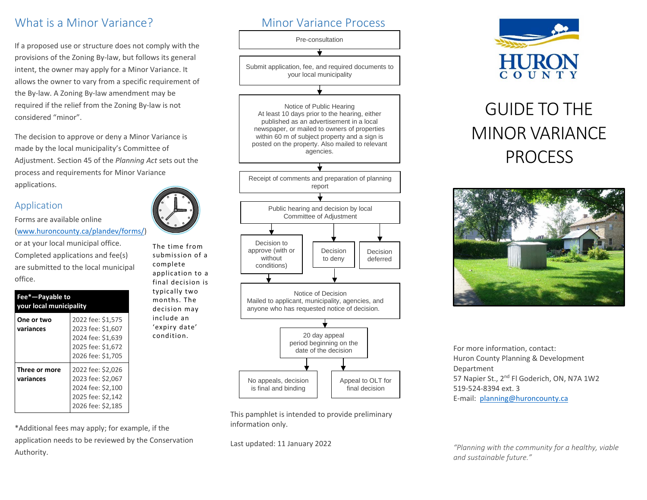## What is a Minor Variance?

If a proposed use or structure does not comply with the provisions of the Zoning By-law, but follows its general intent, the owner may apply for a Minor Variance. It allows the owner to vary from a specific requirement of the By-law. A Zoning By-law amendment may be required if the relief from the Zoning By-law is not considered "minor".

The decision to approve or deny a Minor Variance is made by the local municipality's Committee of Adjustment. Section 45 of the *Planning Act* sets out the process and requirements for Minor Variance applications.

#### Application

Forms are available online [\(www.huroncounty.ca/plandev/forms/](http://www.huroncounty.ca/plandev/forms))

or at your local municipal office. Completed applications and fee(s) are submitted to the local municipal office.

| Fee*-Payable to<br>vour local municipality |                                                                                                       |
|--------------------------------------------|-------------------------------------------------------------------------------------------------------|
| One or two<br>variances                    | 2022 fee: \$1,575<br>2023 fee: \$1,607<br>2024 fee: \$1,639<br>2025 fee: \$1,672<br>2026 fee: \$1.705 |
| Three or more<br>variances                 | 2022 fee: \$2,026<br>2023 fee: \$2,067<br>2024 fee: \$2,100<br>2025 fee: \$2.142<br>2026 fee: \$2,185 |

\*Additional fees may apply; for example, if the application needs to be reviewed by the Conservation Authority.



This pamphlet is intended to provide preliminary information only.

Last updated: 11 January 2022



# GUIDE TO THE MINOR VARIANCE PROCESS



For more information, contact: Huron County Planning & Development Department 57 Napier St., 2<sup>nd</sup> Fl Goderich, ON, N7A 1W2 519-524-8394 ext. 3 E-mail: [planning@huroncounty.ca](mailto:planning@huroncounty.ca)

*"Planning with the community for a healthy, viable and sustainable future."*



The time from submission of a complete application to a final decision is typically two months. The decision may include an 'expiry date' condition.